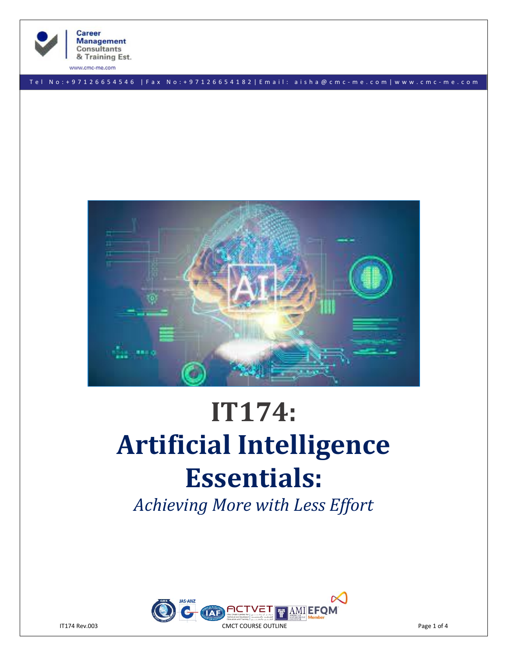

**Career Management Consultants** & Training Est.

www.cmc-me.com

T e l N o : + 9 7 1 2 6 6 5 4 5 4 6 | F a x N o : + 9 7 1 2 6 6 5 4 1 8 2 | E m a i l : a i s h a @ c m c - m e . c o m | w w w . c m c - m e . c o m



# **IT174: Artificial Intelligence Essentials:**

*Achieving More with Less Effort*

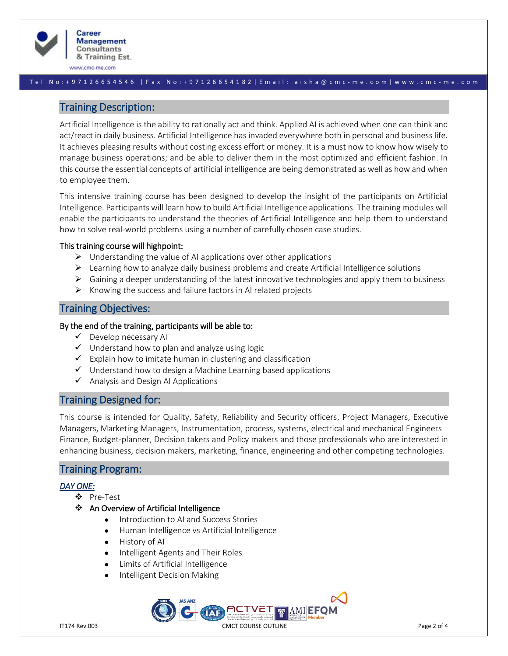

www.cmc-me.com

#### T e l N o : + 9 7 1 2 6 6 5 4 5 4 6 | F a x N o : + 9 7 1 2 6 6 5 4 1 8 2 | E m a i l : a i s h a @ c m c - m e . c o m | w w w . c m c - m e . c o m

# Training Description:

Artificial Intelligence is the ability to rationally act and think. Applied AI is achieved when one can think and act/react in daily business. Artificial Intelligence has invaded everywhere both in personal and business life. It achieves pleasing results without costing excess effort or money. It is a must now to know how wisely to manage business operations; and be able to deliver them in the most optimized and efficient fashion. In this course the essential concepts of artificial intelligence are being demonstrated as well as how and when to employee them.

This intensive training course has been designed to develop the insight of the participants on Artificial Intelligence. Participants will learn how to build Artificial Intelligence applications. The training modules will enable the participants to understand the theories of Artificial Intelligence and help them to understand how to solve real-world problems using a number of carefully chosen case studies.

## This training course will highpoint:

- $\triangleright$  Understanding the value of AI applications over other applications
- $\triangleright$  Learning how to analyze daily business problems and create Artificial Intelligence solutions
- $\triangleright$  Gaining a deeper understanding of the latest innovative technologies and apply them to business
- $\triangleright$  Knowing the success and failure factors in AI related projects

# Training Objectives:

#### By the end of the training, participants will be able to:

- $\checkmark$  Develop necessary AI
- $\checkmark$  Understand how to plan and analyze using logic
- $\checkmark$  Explain how to imitate human in clustering and classification
- $\checkmark$  Understand how to design a Machine Learning based applications
- ✓ Analysis and Design AI Applications

# Training Designed for:

This course is intended for Quality, Safety, Reliability and Security officers, Project Managers, Executive Managers, Marketing Managers, Instrumentation, process, systems, electrical and mechanical Engineers Finance, Budget-planner, Decision takers and Policy makers and those professionals who are interested in enhancing business, decision makers, marketing, finance, engineering and other competing technologies.

# Training Program:

#### *DAY ONE:*

- ❖ Pre-Test
- ❖ An Overview of Artificial Intelligence
	- Introduction to AI and Success Stories
	- Human Intelligence vs Artificial Intelligence
	- History of AI
	- Intelligent Agents and Their Roles
	- Limits of Artificial Intelligence
	- Intelligent Decision Making

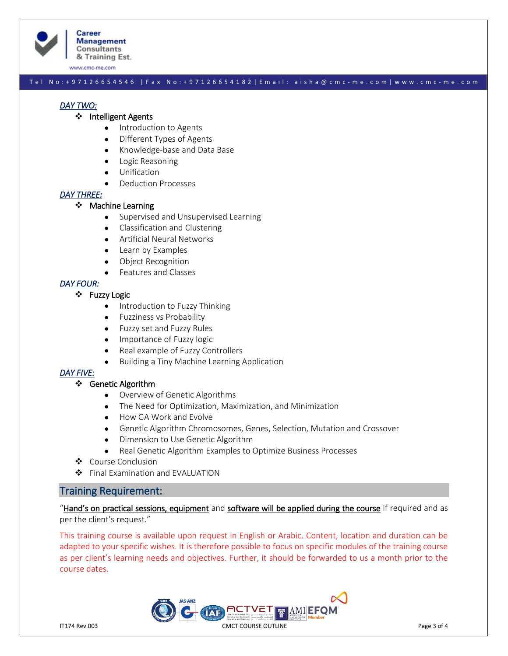

**Career Management Consultants** & Training Est.

www.cmc-me.com

#### T e l N o : + 9 7 1 2 6 6 5 4 5 4 6 | F a x N o : + 9 7 1 2 6 6 5 4 1 8 2 | E m a i l : a i s h a @ c m c - m e . c o m | w w w . c m c - m e . c o m

## *DAY TWO:*

## ❖ Intelligent Agents

- Introduction to Agents
- Different Types of Agents
- Knowledge-base and Data Base
- Logic Reasoning
- Unification
- Deduction Processes

## *DAY THREE:*

#### ❖ Machine Learning

- Supervised and Unsupervised Learning
- Classification and Clustering
- Artificial Neural Networks
- Learn by Examples
- Object Recognition
- Features and Classes

## *DAY FOUR:*

## ❖ Fuzzy Logic

- Introduction to Fuzzy Thinking
- Fuzziness vs Probability
- Fuzzy set and Fuzzy Rules
- Importance of Fuzzy logic
- Real example of Fuzzy Controllers
- Building a Tiny Machine Learning Application

## *DAY FIVE:*

#### ❖ Genetic Algorithm

- Overview of Genetic Algorithms
- The Need for Optimization, Maximization, and Minimization
- How GA Work and Evolve
- Genetic Algorithm Chromosomes, Genes, Selection, Mutation and Crossover
- Dimension to Use Genetic Algorithm
- Real Genetic Algorithm Examples to Optimize Business Processes
- ❖ Course Conclusion
- ❖ Final Examination and EVALUATION

## Training Requirement:

"Hand's on practical sessions, equipment and software will be applied during the course if required and as per the client's request."

This training course is available upon request in English or Arabic. Content, location and duration can be adapted to your specific wishes. It is therefore possible to focus on specific modules of the training course as per client's learning needs and objectives. Further, it should be forwarded to us a month prior to the course dates.